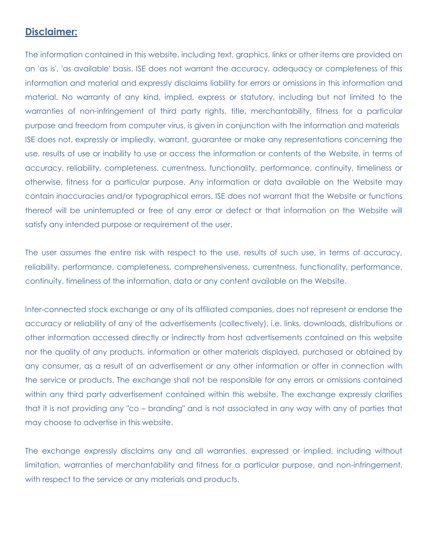## **Disclaimer:**

The information contained in this website, including text, graphics, links or other items are provided on an 'as is', 'as available' basis. ISE does not warrant the accuracy, adequacy or completeness of this information and material and expressly disclaims liability for errors or omissions in this information and material. No warranty of any kind, implied, express or statutory, including but not limited to the warranties of non-infringement of third party rights, title, merchantability, fitness for a particular purpose and freedom from computer virus, is given in conjunction with the information and materials ISE does not, expressly or impliedly, warrant, guarantee or make any representations concerning the use, results of use or inability to use or access the information or contents of the Website, in terms of accuracy, reliability, completeness, currentness, functionality, performance, continuity, timeliness or otherwise, fitness for a particular purpose. Any information or data available on the Website may contain inaccuracies and/or typographical errors. ISE does not warrant that the Website or functions thereof will be uninterrupted or free of any error or defect or that information on the Website will satisfy any intended purpose or requirement of the user.

The user assumes the entire risk with respect to the use, results of such use, in terms of accuracy, reliability, performance, completeness, comprehensiveness, currentness, functionality, performance, continuity, timeliness of the information, data or any content available on the Website.

Inter-connected stock exchange or any of its affiliated companies, does not represent or endorse the accuracy or reliability of any of the advertisements (collectively), i.e. links, downloads, distributions or other information accessed directly or indirectly from host advertisements contained on this website nor the quality of any products, information or other materials displayed, purchased or obtained by any consumer, as a result of an advertisement or any other information or offer in connection with the service or products. The exchange shall not be responsible for any errors or omissions contained within any third party advertisement contained within this website. The exchange expressly clarifies that it is not providing any "co – branding" and is not associated in any way with any of parties that may choose to advertise in this website.

The exchange expressly disclaims any and all warranties, expressed or implied, including without limitation, warranties of merchantability and fitness for a particular purpose, and non-infringement, with respect to the service or any materials and products.